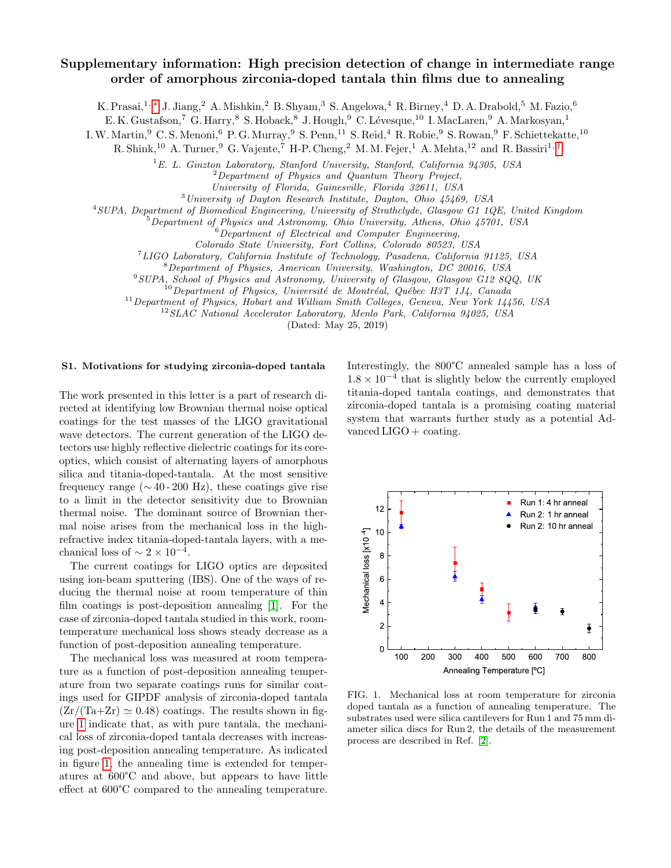# Supplementary information: High precision detection of change in intermediate range order of amorphous zirconia-doped tantala thin films due to annealing

K. Prasai,<sup>1, [∗](#page-5-0)</sup> J. Jiang,<sup>2</sup> A. Mishkin,<sup>2</sup> B. Shyam,<sup>3</sup> S. Angelova,<sup>4</sup> R. Birney,<sup>4</sup> D. A. Drabold,<sup>5</sup> M. Fazio,<sup>6</sup>

E. K. Gustafson,<sup>7</sup> G. Harry,<sup>8</sup> S. Hoback,<sup>8</sup> J. Hough,<sup>9</sup> C. Lévesque,<sup>10</sup> I. MacLaren,<sup>9</sup> A. Markosyan,<sup>1</sup>

I. W. Martin, <sup>9</sup> C. S. Menoni, <sup>6</sup> P. G. Murray, <sup>9</sup> S. Penn, <sup>11</sup> S. Reid, <sup>4</sup> R. Robie, <sup>9</sup> S. Rowan, <sup>9</sup> F. Schiettekatte, <sup>10</sup>

R. Shink,<sup>10</sup> A. Turner,<sup>9</sup> G. Vajente,<sup>7</sup> H-P. Cheng,<sup>2</sup> M. M. Fejer,<sup>1</sup> A. Mehta,<sup>12</sup> and R. Bassiri<sup>1,[†](#page-5-1)</sup>

 $1$ E. L. Ginzton Laboratory, Stanford University, Stanford, California 94305, USA

<sup>2</sup>Department of Physics and Quantum Theory Project,

University of Florida, Gainesville, Florida 32611, USA

<sup>3</sup>University of Dayton Research Institute, Dayton, Ohio 45469, USA

<sup>4</sup>SUPA, Department of Biomedical Engineering, University of Strathclyde, Glasgow G1 1QE, United Kingdom

 $5$ Department of Physics and Astronomy, Ohio University, Athens, Ohio  $45701$ , USA

 ${}^{6}$ Department of Electrical and Computer Engineering,

Colorado State University, Fort Collins, Colorado 80523, USA

<sup>7</sup>LIGO Laboratory, California Institute of Technology, Pasadena, California 91125, USA

<sup>8</sup>Department of Physics, American University, Washington, DC 20016, USA

<sup>9</sup>SUPA, School of Physics and Astronomy, University of Glasgow, Glasgow G12 8QQ, UK

 $10$ Department of Physics, Université de Montréal, Québec H3T 1J4, Canada

 $11$  Department of Physics, Hobart and William Smith Colleges, Geneva, New York 14456, USA

<sup>12</sup>SLAC National Accelerator Laboratory, Menlo Park, California 94025, USA

(Dated: May 25, 2019)

#### S1. Motivations for studying zirconia-doped tantala

The work presented in this letter is a part of research directed at identifying low Brownian thermal noise optical coatings for the test masses of the LIGO gravitational wave detectors. The current generation of the LIGO detectors use highly reflective dielectric coatings for its coreoptics, which consist of alternating layers of amorphous silica and titania-doped-tantala. At the most sensitive frequency range ( $\sim$  40 - 200 Hz), these coatings give rise to a limit in the detector sensitivity due to Brownian thermal noise. The dominant source of Brownian thermal noise arises from the mechanical loss in the highrefractive index titania-doped-tantala layers, with a mechanical loss of  $\sim 2 \times 10^{-4}$ .

The current coatings for LIGO optics are deposited using ion-beam sputtering (IBS). One of the ways of reducing the thermal noise at room temperature of thin film coatings is post-deposition annealing [\[1\]](#page-5-2). For the case of zirconia-doped tantala studied in this work, roomtemperature mechanical loss shows steady decrease as a function of post-deposition annealing temperature.

The mechanical loss was measured at room temperature as a function of post-deposition annealing temperature from two separate coatings runs for similar coatings used for GIPDF analysis of zirconia-doped tantala  $(Zr/(Ta+Zr) \approx 0.48)$  coatings. The results shown in figure [1](#page-0-0) indicate that, as with pure tantala, the mechanical loss of zirconia-doped tantala decreases with increasing post-deposition annealing temperature. As indicated in figure [1,](#page-0-0) the annealing time is extended for temperatures at 600°C and above, but appears to have little effect at 600°C compared to the annealing temperature.

Interestingly, the 800°C annealed sample has a loss of  $1.8 \times 10^{-4}$  that is slightly below the currently employed titania-doped tantala coatings, and demonstrates that zirconia-doped tantala is a promising coating material system that warrants further study as a potential Advanced  $LIGO + \text{coating}.$ 



<span id="page-0-0"></span>FIG. 1. Mechanical loss at room temperature for zirconia doped tantala as a function of annealing temperature. The substrates used were silica cantilevers for Run 1 and 75 mm diameter silica discs for Run 2, the details of the measurement process are described in Ref. [\[2\]](#page-5-3).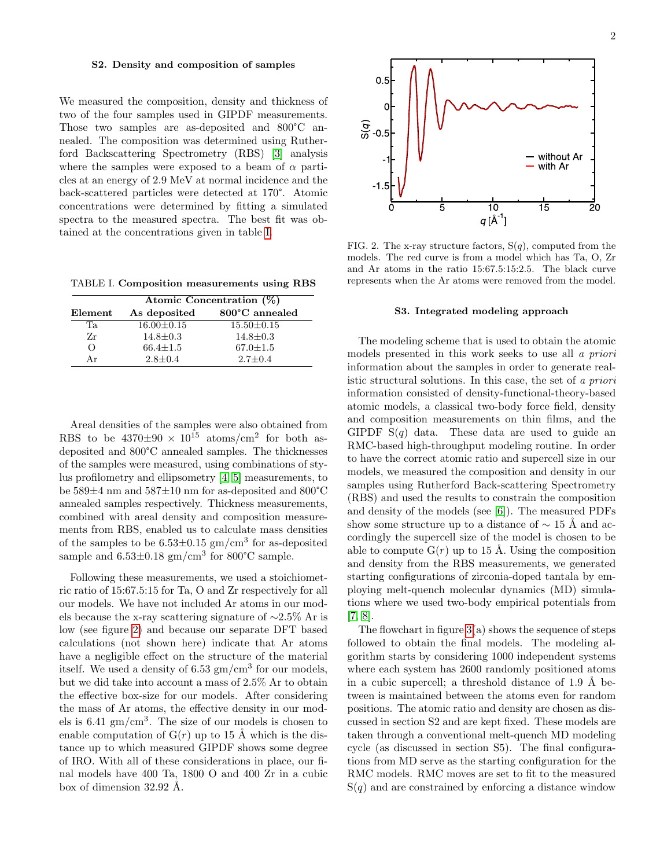#### S2. Density and composition of samples

We measured the composition, density and thickness of two of the four samples used in GIPDF measurements. Those two samples are as-deposited and 800°C annealed. The composition was determined using Rutherford Backscattering Spectrometry (RBS) [\[3\]](#page-5-4) analysis where the samples were exposed to a beam of  $\alpha$  particles at an energy of 2.9 MeV at normal incidence and the back-scattered particles were detected at 170°. Atomic concentrations were determined by fitting a simulated spectra to the measured spectra. The best fit was obtained at the concentrations given in table [I.](#page-1-0)

<span id="page-1-0"></span>TABLE I. Composition measurements using RBS

|          | Atomic Concentration (%) |                  |  |
|----------|--------------------------|------------------|--|
| Element  | As deposited             | 800°C annealed   |  |
| Ta.      | $16.00 \pm 0.15$         | $15.50 \pm 0.15$ |  |
| Zr       | $14.8 \pm 0.3$           | $14.8 \pm 0.3$   |  |
| $\Omega$ | $66.4 \pm 1.5$           | $67.0 \pm 1.5$   |  |
| Аr       | $2.8 \pm 0.4$            | $2.7 + 0.4$      |  |

Areal densities of the samples were also obtained from RBS to be  $4370\pm90 \times 10^{15}$  atoms/cm<sup>2</sup> for both asdeposited and 800°C annealed samples. The thicknesses of the samples were measured, using combinations of stylus profilometry and ellipsometry [\[4,](#page-5-5) [5\]](#page-5-6) measurements, to be 589±4 nm and 587±10 nm for as-deposited and 800°C annealed samples respectively. Thickness measurements, combined with areal density and composition measurements from RBS, enabled us to calculate mass densities of the samples to be  $6.53\pm0.15$  gm/cm<sup>3</sup> for as-deposited sample and  $6.53\pm0.18$  gm/cm<sup>3</sup> for  $800^{\circ}$ C sample.

Following these measurements, we used a stoichiometric ratio of 15:67.5:15 for Ta, O and Zr respectively for all our models. We have not included Ar atoms in our models because the x-ray scattering signature of ∼2.5% Ar is low (see figure [2\)](#page-1-1) and because our separate DFT based calculations (not shown here) indicate that Ar atoms have a negligible effect on the structure of the material itself. We used a density of  $6.53 \text{ gm/cm}^3$  for our models, but we did take into account a mass of 2.5% Ar to obtain the effective box-size for our models. After considering the mass of Ar atoms, the effective density in our models is  $6.41 \text{ gm/cm}^3$ . The size of our models is chosen to enable computation of  $G(r)$  up to 15 Å which is the distance up to which measured GIPDF shows some degree of IRO. With all of these considerations in place, our final models have 400 Ta, 1800 O and 400 Zr in a cubic box of dimension  $32.92 \text{ Å}.$ 

2



<span id="page-1-1"></span>FIG. 2. The x-ray structure factors,  $S(q)$ , computed from the models. The red curve is from a model which has Ta, O, Zr and Ar atoms in the ratio 15:67.5:15:2.5. The black curve represents when the Ar atoms were removed from the model.

#### S3. Integrated modeling approach

The modeling scheme that is used to obtain the atomic models presented in this work seeks to use all a priori information about the samples in order to generate realistic structural solutions. In this case, the set of a priori information consisted of density-functional-theory-based atomic models, a classical two-body force field, density and composition measurements on thin films, and the GIPDF  $S(q)$  data. These data are used to guide an RMC-based high-throughput modeling routine. In order to have the correct atomic ratio and supercell size in our models, we measured the composition and density in our samples using Rutherford Back-scattering Spectrometry (RBS) and used the results to constrain the composition and density of the models (see [\[6\]](#page-5-7)). The measured PDFs show some structure up to a distance of  $\sim$  15 Å and accordingly the supercell size of the model is chosen to be able to compute  $G(r)$  up to 15 Å. Using the composition and density from the RBS measurements, we generated starting configurations of zirconia-doped tantala by employing melt-quench molecular dynamics (MD) simulations where we used two-body empirical potentials from [\[7,](#page-5-8) [8\]](#page-5-9).

The flowchart in figure  $3(a)$  shows the sequence of steps followed to obtain the final models. The modeling algorithm starts by considering 1000 independent systems where each system has 2600 randomly positioned atoms in a cubic supercell; a threshold distance of  $1.9 \text{ Å}$  between is maintained between the atoms even for random positions. The atomic ratio and density are chosen as discussed in section S2 and are kept fixed. These models are taken through a conventional melt-quench MD modeling cycle (as discussed in section S5). The final configurations from MD serve as the starting configuration for the RMC models. RMC moves are set to fit to the measured  $S(q)$  and are constrained by enforcing a distance window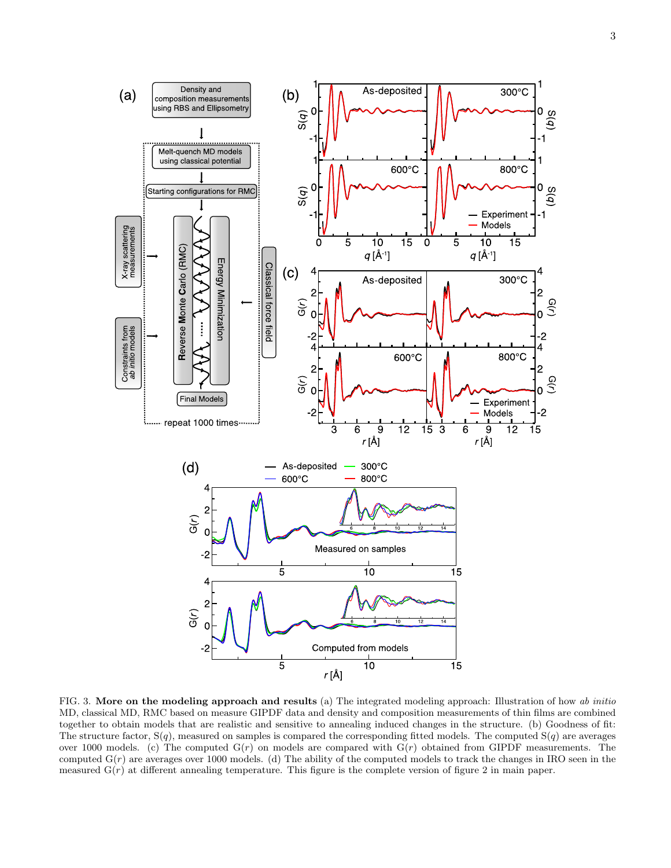

<span id="page-2-0"></span>FIG. 3. More on the modeling approach and results (a) The integrated modeling approach: Illustration of how ab initio MD, classical MD, RMC based on measure GIPDF data and density and composition measurements of thin films are combined together to obtain models that are realistic and sensitive to annealing induced changes in the structure. (b) Goodness of fit: The structure factor,  $S(q)$ , measured on samples is compared the corresponding fitted models. The computed  $S(q)$  are averages over 1000 models. (c) The computed  $G(r)$  on models are compared with  $G(r)$  obtained from GIPDF measurements. The computed  $G(r)$  are averages over 1000 models. (d) The ability of the computed models to track the changes in IRO seen in the measured  $G(r)$  at different annealing temperature. This figure is the complete version of figure 2 in main paper.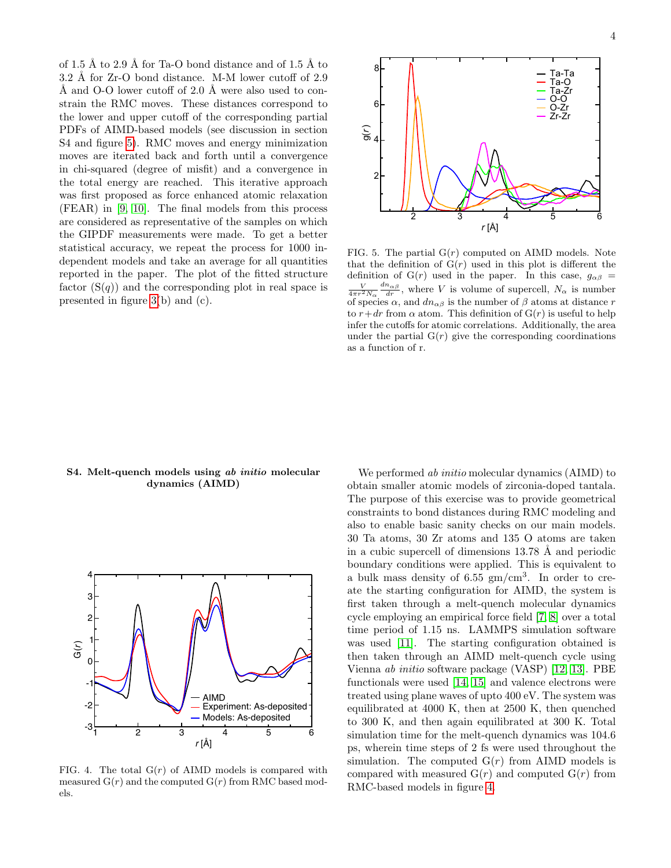of 1.5 Å to 2.9 Å for Ta-O bond distance and of 1.5 Å to  $3.2 \text{ Å}$  for Zr-O bond distance. M-M lower cutoff of  $2.9$ Å and O-O lower cutoff of  $2.0 \text{ Å}$  were also used to constrain the RMC moves. These distances correspond to the lower and upper cutoff of the corresponding partial PDFs of AIMD-based models (see discussion in section S4 and figure [5\)](#page-3-0). RMC moves and energy minimization moves are iterated back and forth until a convergence in chi-squared (degree of misfit) and a convergence in the total energy are reached. This iterative approach was first proposed as force enhanced atomic relaxation (FEAR) in [\[9,](#page-5-10) [10\]](#page-5-11). The final models from this process are considered as representative of the samples on which the GIPDF measurements were made. To get a better statistical accuracy, we repeat the process for 1000 independent models and take an average for all quantities reported in the paper. The plot of the fitted structure factor  $(S(q))$  and the corresponding plot in real space is presented in figure [3\(](#page-2-0)b) and (c).



<span id="page-3-0"></span>FIG. 5. The partial  $G(r)$  computed on AIMD models. Note that the definition of  $G(r)$  used in this plot is different the definition of G(r) used in the paper. In this case,  $g_{\alpha\beta}$  =  $\frac{V}{4\pi r^2 N_\alpha} \frac{dn_{\alpha\beta}}{dr}$ , where V is volume of supercell,  $N_\alpha$  is number of species  $\alpha$ , and  $dn_{\alpha\beta}$  is the number of  $\beta$  atoms at distance r to  $r+dr$  from  $\alpha$  atom. This definition of  $G(r)$  is useful to help infer the cutoffs for atomic correlations. Additionally, the area under the partial  $G(r)$  give the corresponding coordinations as a function of r.

## S4. Melt-quench models using ab initio molecular dynamics (AIMD)



<span id="page-3-1"></span>FIG. 4. The total  $G(r)$  of AIMD models is compared with measured  $G(r)$  and the computed  $G(r)$  from RMC based models.

We performed ab initio molecular dynamics (AIMD) to obtain smaller atomic models of zirconia-doped tantala. The purpose of this exercise was to provide geometrical constraints to bond distances during RMC modeling and also to enable basic sanity checks on our main models. 30 Ta atoms, 30 Zr atoms and 135 O atoms are taken in a cubic supercell of dimensions  $13.78 \text{ Å}$  and periodic boundary conditions were applied. This is equivalent to a bulk mass density of  $6.55 \text{ gm/cm}^3$ . In order to create the starting configuration for AIMD, the system is first taken through a melt-quench molecular dynamics cycle employing an empirical force field [\[7,](#page-5-8) [8\]](#page-5-9) over a total time period of 1.15 ns. LAMMPS simulation software was used [\[11\]](#page-5-12). The starting configuration obtained is then taken through an AIMD melt-quench cycle using Vienna ab initio software package (VASP) [\[12,](#page-5-13) [13\]](#page-5-14). PBE functionals were used [\[14,](#page-5-15) [15\]](#page-5-16) and valence electrons were treated using plane waves of upto 400 eV. The system was equilibrated at 4000 K, then at 2500 K, then quenched to 300 K, and then again equilibrated at 300 K. Total simulation time for the melt-quench dynamics was 104.6 ps, wherein time steps of 2 fs were used throughout the simulation. The computed  $G(r)$  from AIMD models is compared with measured  $G(r)$  and computed  $G(r)$  from RMC-based models in figure [4.](#page-3-1)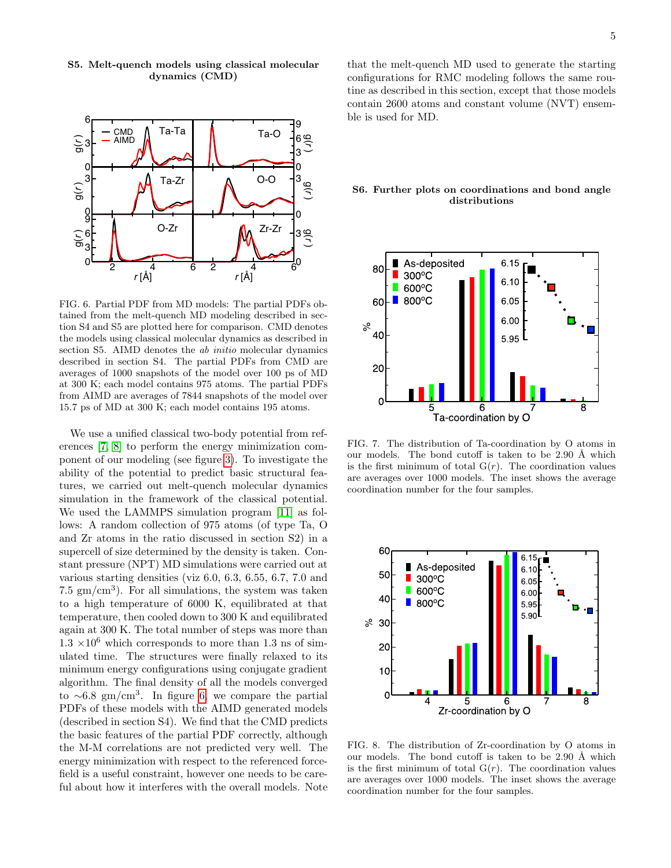

S5. Melt-quench models using classical molecular dynamics (CMD)

<span id="page-4-0"></span>FIG. 6. Partial PDF from MD models: The partial PDFs obtained from the melt-quench MD modeling described in section S4 and S5 are plotted here for comparison. CMD denotes the models using classical molecular dynamics as described in section S5. AIMD denotes the *ab initio* molecular dynamics described in section S4. The partial PDFs from CMD are averages of 1000 snapshots of the model over 100 ps of MD at 300 K; each model contains 975 atoms. The partial PDFs from AIMD are averages of 7844 snapshots of the model over 15.7 ps of MD at 300 K; each model contains 195 atoms.

We use a unified classical two-body potential from references [\[7,](#page-5-8) [8\]](#page-5-9) to perform the energy minimization component of our modeling (see figure [3\)](#page-2-0). To investigate the ability of the potential to predict basic structural features, we carried out melt-quench molecular dynamics simulation in the framework of the classical potential. We used the LAMMPS simulation program [\[11\]](#page-5-12) as follows: A random collection of 975 atoms (of type Ta, O and Zr atoms in the ratio discussed in section S2) in a supercell of size determined by the density is taken. Constant pressure (NPT) MD simulations were carried out at various starting densities (viz 6.0, 6.3, 6.55, 6.7, 7.0 and 7.5  $\text{gm/cm}^3$ ). For all simulations, the system was taken to a high temperature of 6000 K, equilibrated at that temperature, then cooled down to 300 K and equilibrated again at 300 K. The total number of steps was more than  $1.3 \times 10^6$  which corresponds to more than 1.3 ns of simulated time. The structures were finally relaxed to its minimum energy configurations using conjugate gradient algorithm. The final density of all the models converged to  $\sim 6.8$  gm/cm<sup>3</sup>. In figure [6,](#page-4-0) we compare the partial PDFs of these models with the AIMD generated models (described in section S4). We find that the CMD predicts the basic features of the partial PDF correctly, although the M-M correlations are not predicted very well. The energy minimization with respect to the referenced forcefield is a useful constraint, however one needs to be careful about how it interferes with the overall models. Note

that the melt-quench MD used to generate the starting configurations for RMC modeling follows the same routine as described in this section, except that those models contain 2600 atoms and constant volume (NVT) ensemble is used for MD.

### S6. Further plots on coordinations and bond angle distributions



FIG. 7. The distribution of Ta-coordination by O atoms in our models. The bond cutoff is taken to be  $2.90 \text{ Å}$  which is the first minimum of total  $G(r)$ . The coordination values are averages over 1000 models. The inset shows the average coordination number for the four samples.



FIG. 8. The distribution of Zr-coordination by O atoms in our models. The bond cutoff is taken to be  $2.90 \text{ Å}$  which is the first minimum of total  $G(r)$ . The coordination values are averages over 1000 models. The inset shows the average coordination number for the four samples.